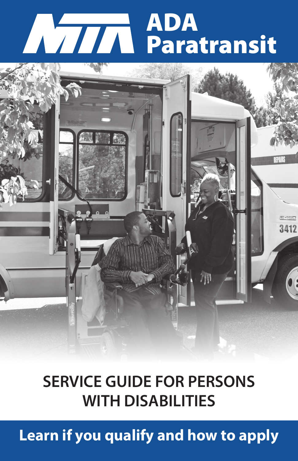# ADA Paratransit



## **SERVICE GUIDE FOR PERSONS WITH DISABILITIES**

**Learn if you qualify and how to apply**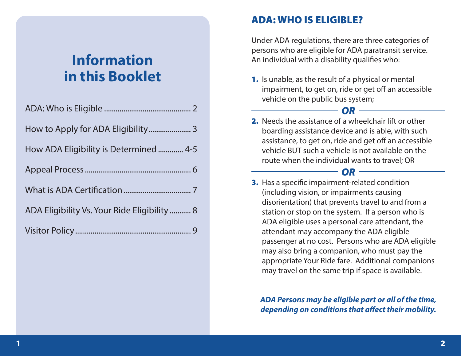## **Information in this Booklet**

| How ADA Eligibility is Determined  4-5       |
|----------------------------------------------|
|                                              |
|                                              |
| ADA Eligibility Vs. Your Ride Eligibility  8 |
|                                              |

## ADA: WHO IS ELIGIBLE?

Under ADA regulations, there are three categories of persons who are eligible for ADA paratransit service. An individual with a disability qualifies who:

1. Is unable, as the result of a physical or mental impairment, to get on, ride or get off an accessible vehicle on the public bus system;



*OR*

#### *OR* 3. Has a specific impairment-related condition (including vision, or impairments causing disorientation) that prevents travel to and from a station or stop on the system. If a person who is ADA eligible uses a personal care attendant, the attendant may accompany the ADA eligible passenger at no cost. Persons who are ADA eligible may also bring a companion, who must pay the appropriate Your Ride fare. Additional companions may travel on the same trip if space is available.

*ADA Persons may be eligible part or all of the time, depending on conditions that affect their mobility.*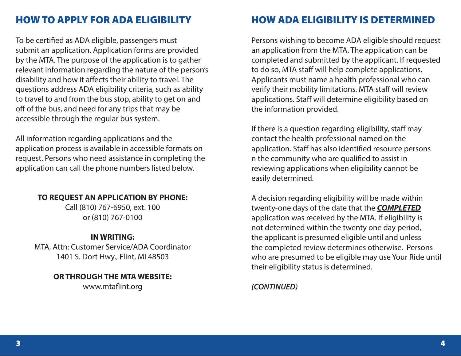## HOW TO APPLY FOR ADA ELIGIBILITY

To be certified as ADA eligible, passengers must submit an application. Application forms are provided by the MTA. The purpose of the application is to gather relevant information regarding the nature of the person's disability and how it affects their ability to travel. The questions address ADA eligibility criteria, such as ability to travel to and from the bus stop, ability to get on and off of the bus, and need for any trips that may be accessible through the regular bus system.

All information regarding applications and the application process is available in accessible formats on request. Persons who need assistance in completing the application can call the phone numbers listed below.

#### **TO REQUEST AN APPLICATION BY PHONE:**

Call (810) 767-6950, ext. 100 or (810) 767-0100

#### **IN WRITING:**

MTA, Attn: Customer Service/ADA Coordinator 1401 S. Dort Hwy., Flint, MI 48503

### **OR THROUGH THE MTA WEBSITE:**

www.mtaflint.org

## HOW ADA ELIGIBILITY IS DETERMINED

Persons wishing to become ADA eligible should request an application from the MTA. The application can be completed and submitted by the applicant. If requested to do so, MTA staff will help complete applications. Applicants must name a health professional who can verify their mobility limitations. MTA staff will review applications. Staff will determine eligibility based on the information provided.

If there is a question regarding eligibility, staff may contact the health professional named on the application. Staff has also identified resource persons n the community who are qualified to assist in reviewing applications when eligibility cannot be easily determined.

A decision regarding eligibility will be made within twenty-one days of the date that the *COMPLETED* application was received by the MTA. If eligibility is not determined within the twenty one day period, the applicant is presumed eligible until and unless the completed review determines otherwise. Persons who are presumed to be eligible may use Your Ride until their eligibility status is determined.

#### *(CONTINUED)*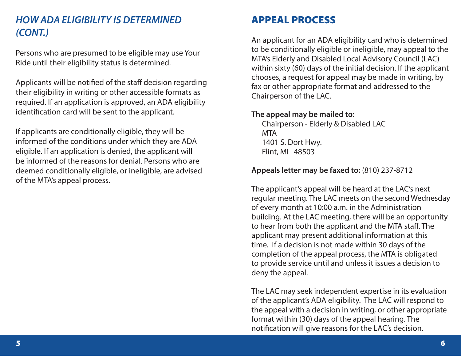## *HOW ADA ELIGIBILITY IS DETERMINED (CONT.)*

Persons who are presumed to be eligible may use Your Ride until their eligibility status is determined.

Applicants will be notified of the staff decision regarding their eligibility in writing or other accessible formats as required. If an application is approved, an ADA eligibility identification card will be sent to the applicant.

If applicants are conditionally eligible, they will be informed of the conditions under which they are ADA eligible. If an application is denied, the applicant will be informed of the reasons for denial. Persons who are deemed conditionally eligible, or ineligible, are advised of the MTA's appeal process.

## APPEAL PROCESS

An applicant for an ADA eligibility card who is determined to be conditionally eligible or ineligible, may appeal to the MTA's Elderly and Disabled Local Advisory Council (LAC) within sixty (60) days of the initial decision. If the applicant chooses, a request for appeal may be made in writing, by fax or other appropriate format and addressed to the Chairperson of the LAC.

#### **The appeal may be mailed to:**

Chairperson - Elderly & Disabled LAC MTA 1401 S. Dort Hwy. Flint, MI 48503

#### **Appeals letter may be faxed to:** (810) 237-8712

The applicant's appeal will be heard at the LAC's next regular meeting. The LAC meets on the second Wednesday of every month at 10:00 a.m. in the Administration building. At the LAC meeting, there will be an opportunity to hear from both the applicant and the MTA staff. The applicant may present additional information at this time. If a decision is not made within 30 days of the completion of the appeal process, the MTA is obligated to provide service until and unless it issues a decision to deny the appeal.

The LAC may seek independent expertise in its evaluation of the applicant's ADA eligibility. The LAC will respond to the appeal with a decision in writing, or other appropriate format within (30) days of the appeal hearing. The notification will give reasons for the LAC's decision.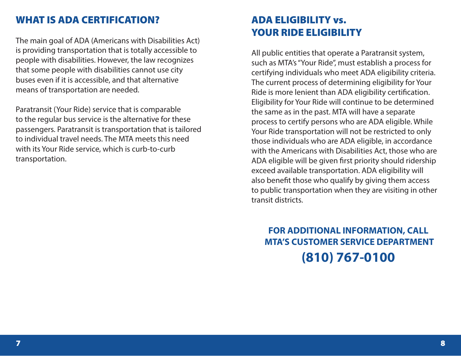## WHAT IS ADA CERTIFICATION?

The main goal of ADA (Americans with Disabilities Act) is providing transportation that is totally accessible to people with disabilities. However, the law recognizes that some people with disabilities cannot use city buses even if it is accessible, and that alternative means of transportation are needed.

Paratransit (Your Ride) service that is comparable to the regular bus service is the alternative for these passengers. Paratransit is transportation that is tailored to individual travel needs. The MTA meets this need with its Your Ride service, which is curb-to-curb transportation.

## ADA ELIGIBILITY vs. YOUR RIDE ELIGIBILITY

All public entities that operate a Paratransit system, such as MTA's "Your Ride", must establish a process for certifying individuals who meet ADA eligibility criteria. The current process of determining eligibility for Your Ride is more lenient than ADA eligibility certification. Eligibility for Your Ride will continue to be determined the same as in the past. MTA will have a separate process to certify persons who are ADA eligible. While Your Ride transportation will not be restricted to only those individuals who are ADA eligible, in accordance with the Americans with Disabilities Act, those who are ADA eligible will be given first priority should ridership exceed available transportation. ADA eligibility will also benefit those who qualify by giving them access to public transportation when they are visiting in other transit districts.

## **FOR ADDITIONAL INFORMATION, CALL MTA'S CUSTOMER SERVICE DEPARTMENT (810) 767-0100**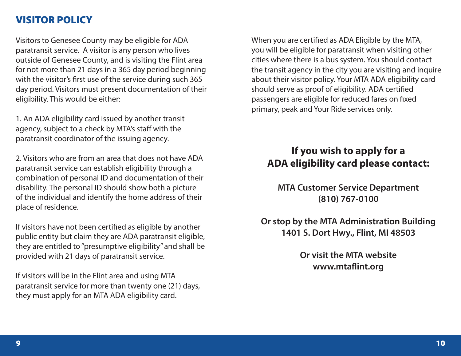## VISITOR POLICY

Visitors to Genesee County may be eligible for ADA paratransit service. A visitor is any person who lives outside of Genesee County, and is visiting the Flint area for not more than 21 days in a 365 day period beginning with the visitor's first use of the service during such 365 day period. Visitors must present documentation of their eligibility. This would be either:

1. An ADA eligibility card issued by another transit agency, subject to a check by MTA's staff with the paratransit coordinator of the issuing agency.

2. Visitors who are from an area that does not have ADA paratransit service can establish eligibility through a combination of personal ID and documentation of their disability. The personal ID should show both a picture of the individual and identify the home address of their place of residence.

If visitors have not been certified as eligible by another public entity but claim they are ADA paratransit eligible, they are entitled to "presumptive eligibility" and shall be provided with 21 days of paratransit service.

If visitors will be in the Flint area and using MTA paratransit service for more than twenty one (21) days, they must apply for an MTA ADA eligibility card.

When you are certified as ADA Eligible by the MTA, you will be eligible for paratransit when visiting other cities where there is a bus system. You should contact the transit agency in the city you are visiting and inquire about their visitor policy. Your MTA ADA eligibility card should serve as proof of eligibility. ADA certified passengers are eligible for reduced fares on fixed primary, peak and Your Ride services only.

## **If you wish to apply for a ADA eligibility card please contact:**

**MTA Customer Service Department (810) 767-0100**

**Or stop by the MTA Administration Building 1401 S. Dort Hwy., Flint, MI 48503**

> **Or visit the MTA website www.mtaflint.org**